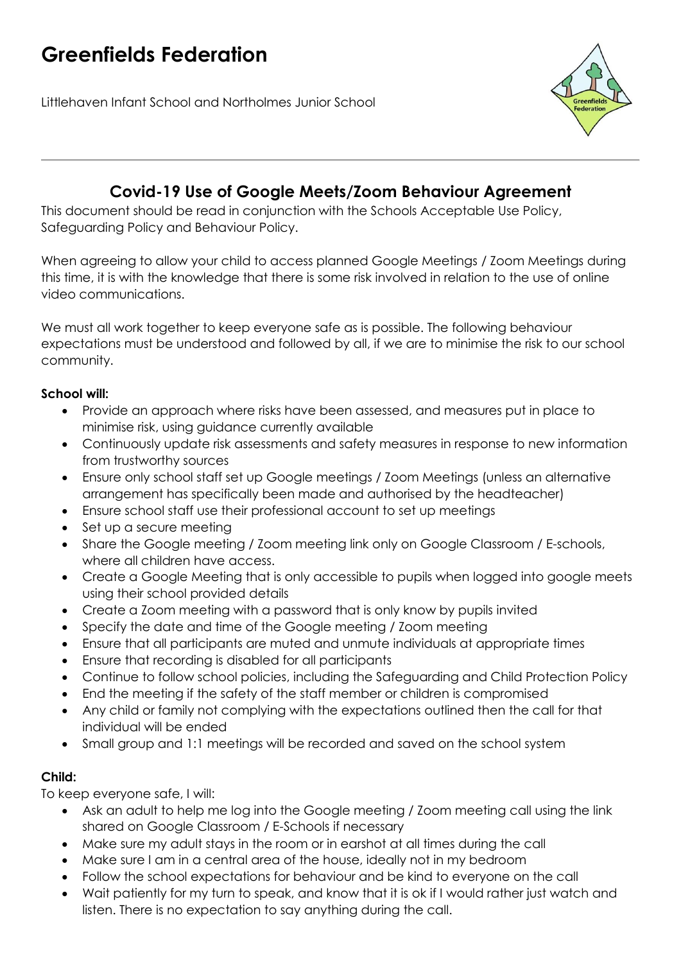# **Greenfields Federation**

Littlehaven Infant School and Northolmes Junior School



## **Covid-19 Use of Google Meets/Zoom Behaviour Agreement**

This document should be read in conjunction with the Schools Acceptable Use Policy, Safeguarding Policy and Behaviour Policy.

When agreeing to allow your child to access planned Google Meetings / Zoom Meetings during this time, it is with the knowledge that there is some risk involved in relation to the use of online video communications.

We must all work together to keep everyone safe as is possible. The following behaviour expectations must be understood and followed by all, if we are to minimise the risk to our school community.

#### **School will:**

- Provide an approach where risks have been assessed, and measures put in place to minimise risk, using guidance currently available
- Continuously update risk assessments and safety measures in response to new information from trustworthy sources
- Ensure only school staff set up Google meetings / Zoom Meetings (unless an alternative arrangement has specifically been made and authorised by the headteacher)
- Ensure school staff use their professional account to set up meetings
- Set up a secure meeting
- Share the Google meeting / Zoom meeting link only on Google Classroom / E-schools, where all children have access.
- Create a Google Meeting that is only accessible to pupils when logged into google meets using their school provided details
- Create a Zoom meeting with a password that is only know by pupils invited
- Specify the date and time of the Google meeting / Zoom meeting
- Ensure that all participants are muted and unmute individuals at appropriate times
- Ensure that recording is disabled for all participants
- Continue to follow school policies, including the Safeguarding and Child Protection Policy
- End the meeting if the safety of the staff member or children is compromised
- Any child or family not complying with the expectations outlined then the call for that individual will be ended
- Small group and 1:1 meetings will be recorded and saved on the school system

#### **Child:**

To keep everyone safe, I will:

- Ask an adult to help me log into the Google meeting / Zoom meeting call using the link shared on Google Classroom / E-Schools if necessary
- Make sure my adult stays in the room or in earshot at all times during the call
- Make sure I am in a central area of the house, ideally not in my bedroom
- Follow the school expectations for behaviour and be kind to everyone on the call
- Wait patiently for my turn to speak, and know that it is ok if I would rather just watch and listen. There is no expectation to say anything during the call.